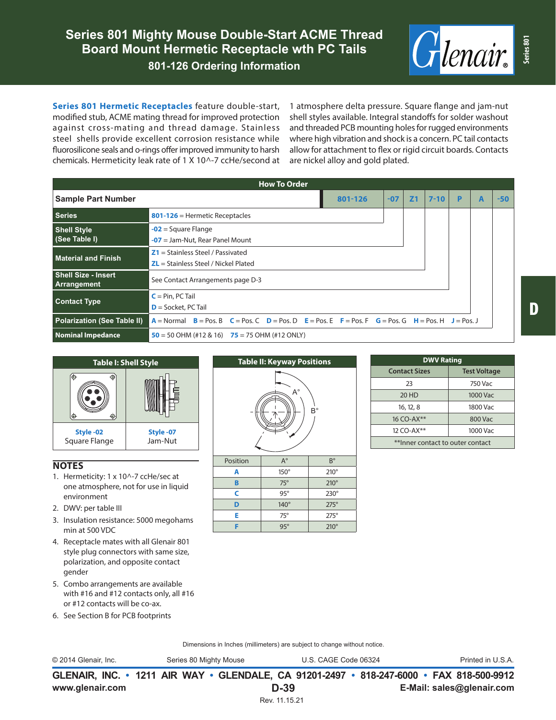

**Series 801 Hermetic Receptacles** feature double-start, modified stub, ACME mating thread for improved protection against cross-mating and thread damage. Stainless steel shells provide excellent corrosion resistance while fluorosilicone seals and o-rings offer improved immunity to harsh chemicals. Hermeticity leak rate of 1 X 10^-7 ccHe/second at 1 atmosphere delta pressure. Square flange and jam-nut shell styles available. Integral standoffs for solder washout and threaded PCB mounting holes for rugged environments where high vibration and shock is a concern. PC tail contacts allow for attachment to flex or rigid circuit boards. Contacts are nickel alloy and gold plated.

| <b>How To Order</b>                       |                                                                                                                                                                                                                                                           |       |                |          |   |  |       |  |
|-------------------------------------------|-----------------------------------------------------------------------------------------------------------------------------------------------------------------------------------------------------------------------------------------------------------|-------|----------------|----------|---|--|-------|--|
| <b>Sample Part Number</b>                 | 801-126                                                                                                                                                                                                                                                   | $-07$ | Z <sub>1</sub> | $7 - 10$ | P |  | $-50$ |  |
| <b>Series</b>                             | $801-126$ = Hermetic Receptacles                                                                                                                                                                                                                          |       |                |          |   |  |       |  |
| <b>Shell Style</b><br>(See Table I)       | $-02$ = Square Flange<br>$-07$ = Jam-Nut, Rear Panel Mount                                                                                                                                                                                                |       |                |          |   |  |       |  |
| <b>Material and Finish</b>                | $Z1 =$ Stainless Steel / Passivated<br>$ZL$ = Stainless Steel / Nickel Plated                                                                                                                                                                             |       |                |          |   |  |       |  |
| <b>Shell Size - Insert</b><br>Arrangement | See Contact Arrangements page D-3                                                                                                                                                                                                                         |       |                |          |   |  |       |  |
| <b>Contact Type</b>                       | $C = Pin, PC Tail$<br>$D =$ Socket, PC Tail                                                                                                                                                                                                               |       |                |          |   |  |       |  |
| <b>Polarization (See Table II)</b>        | $A = \text{Normal}$ $B = \text{Pos}$ , $B$ $C = \text{Pos}$ , $C = \text{Pos}$ , $D = \text{Pos}$ , $E = \text{Pos}$ , $E = \text{Pos}$ , $F = \text{Pos}$ , $G = \text{Pos}$ , $H = \text{Pos}$ , $H = \text{Pos}$ , $J = \text{Pos}$ , $J = \text{Pos}$ |       |                |          |   |  |       |  |
| <b>Nominal Impedance</b>                  | $50 = 50$ OHM (#12 & 16) $75 = 75$ OHM (#12 ONLY)                                                                                                                                                                                                         |       |                |          |   |  |       |  |



## **NOTES**

- 1. Hermeticity: 1 x 10^-7 ccHe/sec at one atmosphere, not for use in liquid environment
- 2. DWV: per table III
- 3. Insulation resistance: 5000 megohams min at 500 VDC
- 4. Receptacle mates with all Glenair 801 style plug connectors with same size, polarization, and opposite contact gender
- 5. Combo arrangements are available with #16 and #12 contacts only, all #16 or #12 contacts will be co-ax.
- 6. See Section B for PCB footprints



**E** 75° 275° **F** 95° 210°

| <b>DWV Rating</b>                |                     |  |  |  |  |  |
|----------------------------------|---------------------|--|--|--|--|--|
| <b>Contact Sizes</b>             | <b>Test Voltage</b> |  |  |  |  |  |
| 23                               | 750 Vac             |  |  |  |  |  |
| 20 HD                            | 1000 Vac            |  |  |  |  |  |
| 16, 12, 8                        | 1800 Vac            |  |  |  |  |  |
| 16 CO-AX**                       | 800 Vac             |  |  |  |  |  |
| 12 CO-AX**                       | 1000 Vac            |  |  |  |  |  |
| **Inner contact to outer contact |                     |  |  |  |  |  |

Dimensions in Inches (millimeters) are subject to change without notice.

**GLENAIR, INC. • 1211 AIR WAY • GLENDALE, CA 91201-2497 • 818-247-6000 • FAX 818-500-9912** © 2014 Glenair, Inc. Series 80 Mighty Mouse U.S. CAGE Code 06324 Printed in U.S.A.

**www.glenair.com E-Mail: sales@glenair.com**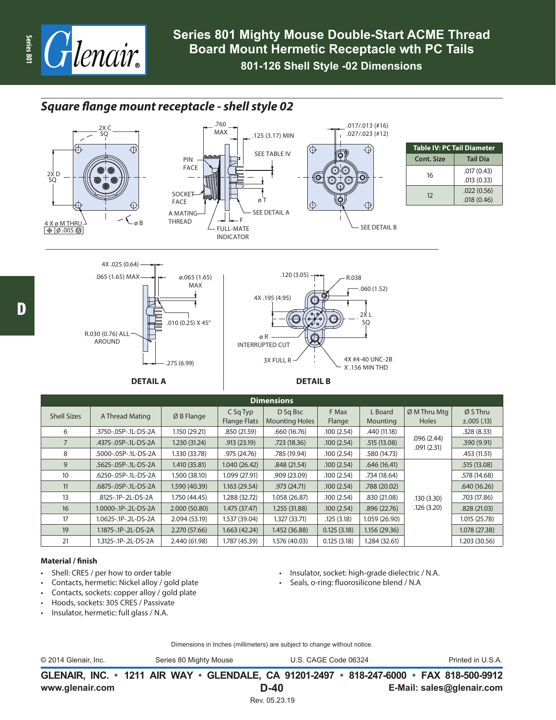

 $\Theta$ 

## *Square flange mount receptacle - shell style 02*





| <b>Table IV: PC Tail Diameter</b> |            |  |  |  |  |
|-----------------------------------|------------|--|--|--|--|
| Cont. Size                        | Tail Dia   |  |  |  |  |
| 16                                | .017(0.43) |  |  |  |  |
|                                   | .013(0.33) |  |  |  |  |
| 12                                | .022(0.56) |  |  |  |  |
|                                   | .018(0.46) |  |  |  |  |



| <b>Dimensions</b>  |                      |               |                                 |                                   |                 |                     |                               |                              |
|--------------------|----------------------|---------------|---------------------------------|-----------------------------------|-----------------|---------------------|-------------------------------|------------------------------|
| <b>Shell Sizes</b> | A Thread Mating      | $ØB$ Flange   | C Sq Typ<br><b>Flange Flats</b> | D Sq Bsc<br><b>Mounting Holes</b> | F Max<br>Flange | L Board<br>Mounting | $ØM$ Thru Mtq<br><b>Holes</b> | Ø S Thru<br>$\pm .005$ (.13) |
| 6                  | .3750-.05P-.1L-DS-2A | 1.150 (29.21) | .850 (21.59)                    | .660(16.76)                       | .100(2.54)      | .440 (11.18)        |                               | .328(8.33)                   |
|                    | .4375-.05P-.1L-DS-2A | 1.230 (31.24) | .913(23.19)                     | .723(18.36)                       | .100(2.54)      | .515(13.08)         | .096(2.44)<br>.091(2.31)      | .390(9.91)                   |
| 8                  | .5000-.05P-.1L-DS-2A | 1.330 (33.78) | .975 (24.76)                    | .785 (19.94)                      | .100(2.54)      | .580 (14.73)        |                               | .453 (11.51)                 |
| 9                  | .5625-.05P-.1L-DS-2A | 1.410 (35.81) | 1.040(26.42)                    | .848(21.54)                       | .100(2.54)      | .646(16.41)         |                               | .515(13.08)                  |
| 10 <sup>°</sup>    | .6250-.05P-.1L-DS-2A | 1.500 (38.10) | 1.099 (27.91)                   | .909(23.09)                       | .100(2.54)      | .734 (18.64)        |                               | .578 (14.68)                 |
| 11                 | .6875-.05P-.1L-DS-2A | 1.590 (40.39) | 1.163(29.54)                    | .973(24.71)                       | .100(2.54)      | .788 (20.02)        |                               | .640(16.26)                  |
| 13                 | .8125-.1P-.2L-DS-2A  | 1.750 (44.45) | 1.288 (32.72)                   | 1.058 (26.87)                     | .100(2.54)      | .830 (21.08)        | .130(3.30)                    | .703 (17.86)                 |
| 16                 | 1.0000-.1P-.2L-DS-2A | 2.000(50.80)  | 1.475 (37.47)                   | 1.255 (31.88)                     | .100(2.54)      | .896(22.76)         | .126(3.20)                    | .828(21.03)                  |
| 17                 | 1.0625-.1P-.2L-DS-2A | 2.094 (53.19) | 1.537 (39.04)                   | 1.327(33.71)                      | .125(3.18)      | 1.059 (26.90)       |                               | 1.015 (25.78)                |
| 19                 | 1.1875-.1P-.2L-DS-2A | 2.270 (57.66) | 1.663(42.24)                    | 1.452 (36.88)                     | 0.125(3.18)     | 1.156(29.36)        |                               | 1.078 (27.38)                |
| 21                 | 1.3125-.1P-.2L-DS-2A | 2.440 (61.98) | 1.787 (45.39)                   | 1.576 (40.03)                     | 0.125(3.18)     | 1.284 (32.61)       |                               | 1.203 (30.56)                |

## **Material / finish**

- Shell: CRES / per how to order table
- Contacts, hermetic: Nickel alloy / gold plate
- Contacts, sockets: copper alloy / gold plate
- Hoods, sockets: 305 CRES / Passivate
- Insulator, hermetic: full glass / N.A.
- Insulator, socket: high-grade dielectric / N.A.
- Seals, o-ring: fluorosilicone blend / N.A

Dimensions in Inches (millimeters) are subject to change without notice.

| © 2014 Glenair, Inc.<br>Series 80 Mighty Mouse |  | U.S. CAGE Code 06324                                                                     | Printed in U.S.A. |
|------------------------------------------------|--|------------------------------------------------------------------------------------------|-------------------|
|                                                |  | GLENAIR, INC. • 1211 AIR WAY • GLENDALE, CA 91201-2497 • 818-247-6000 • FAX 818-500-9912 |                   |

**D-40** Rev. 05.23.19

**www.glenair.com E-Mail: sales@glenair.com**